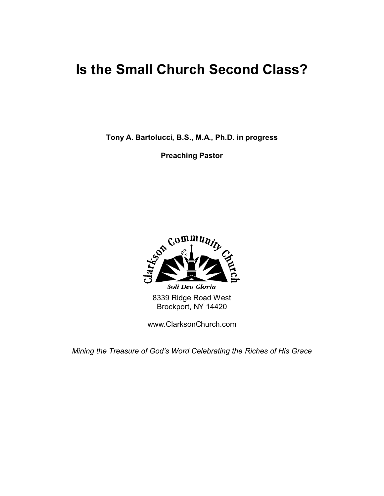## **Is the Small Church Second Class?**

**Tony A. Bartolucci, B.S., M.A., Ph.D. in progress**

**Preaching Pastor**



www.ClarksonChurch.com

*Mining the Treasure of God's Word Celebrating the Riches of His Grace*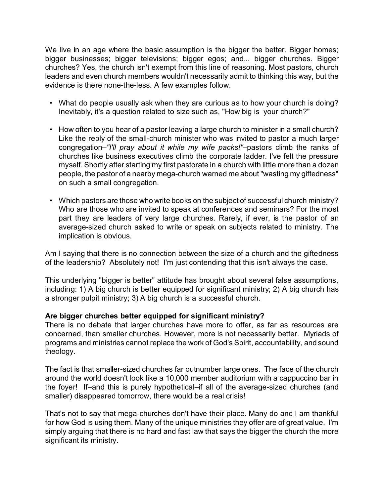We live in an age where the basic assumption is the bigger the better. Bigger homes; bigger businesses; bigger televisions; bigger egos; and... bigger churches. Bigger churches? Yes, the church isn't exempt from this line of reasoning. Most pastors, church leaders and even church members wouldn't necessarily admit to thinking this way, but the evidence is there none-the-less. A few examples follow.

- What do people usually ask when they are curious as to how your church is doing? Inevitably, it's a question related to size such as, "How big is your church?"
- How often to you hear of a pastor leaving a large church to minister in a small church? Like the reply of the small-church minister who was invited to pastor a much larger congregation–*"I'll pray about it while my wife packs!"*–pastors climb the ranks of churches like business executives climb the corporate ladder. I've felt the pressure myself. Shortly after starting my first pastorate in a church with little more than a dozen people, the pastor of a nearby mega-church warned me about "wasting my giftedness" on such a small congregation.
- Which pastors are those who write books on the subject of successful church ministry? Who are those who are invited to speak at conferences and seminars? For the most part they are leaders of very large churches. Rarely, if ever, is the pastor of an average-sized church asked to write or speak on subjects related to ministry. The implication is obvious.

Am I saying that there is no connection between the size of a church and the giftedness of the leadership? Absolutely not! I'm just contending that this isn't always the case.

This underlying "bigger is better" attitude has brought about several false assumptions, including: 1) A big church is better equipped for significant ministry; 2) A big church has a stronger pulpit ministry; 3) A big church is a successful church.

## **Are bigger churches better equipped for significant ministry?**

There is no debate that larger churches have more to offer, as far as resources are concerned, than smaller churches. However, more is not necessarily better. Myriads of programs and ministries cannot replace the work of God's Spirit, accountability, and sound theology.

The fact is that smaller-sized churches far outnumber large ones. The face of the church around the world doesn't look like a 10,000 member auditorium with a cappuccino bar in the foyer! If–and this is purely hypothetical–if all of the average-sized churches (and smaller) disappeared tomorrow, there would be a real crisis!

That's not to say that mega-churches don't have their place. Many do and I am thankful for how God is using them. Many of the unique ministries they offer are of great value. I'm simply arguing that there is no hard and fast law that says the bigger the church the more significant its ministry.